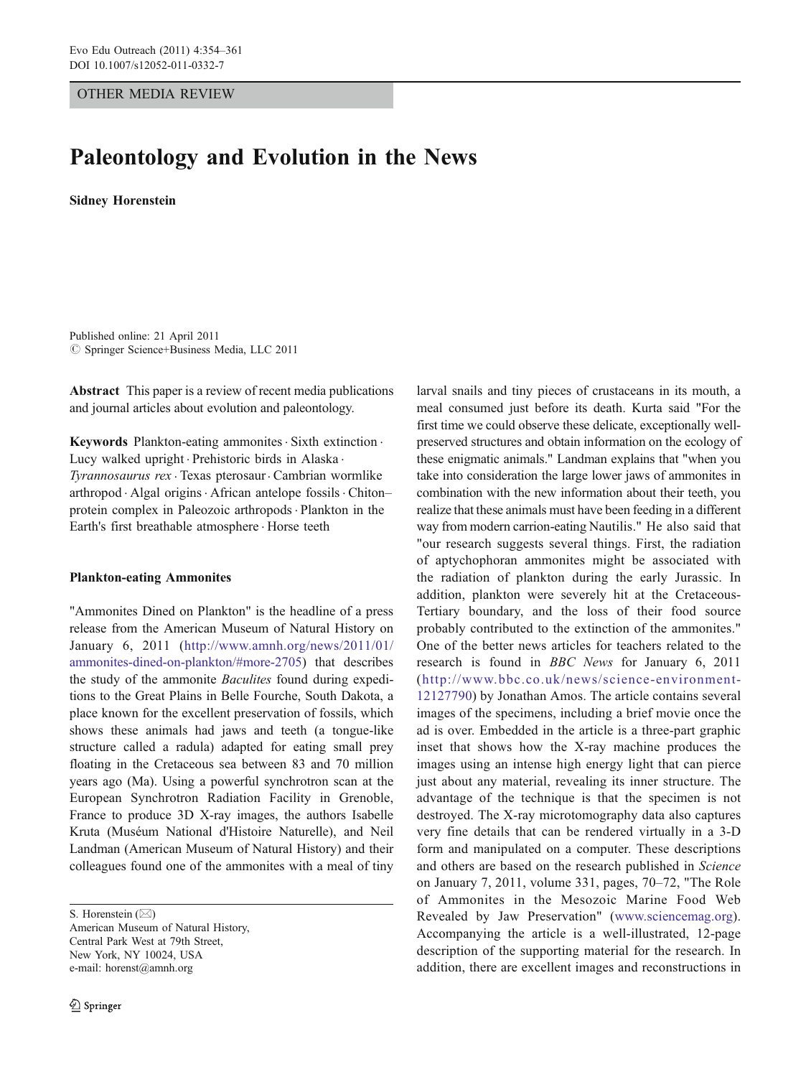# OTHER MEDIA REVIEW

# Paleontology and Evolution in the News

Sidney Horenstein

Published online: 21 April 2011  $©$  Springer Science+Business Media, LLC 2011

Abstract This paper is a review of recent media publications and journal articles about evolution and paleontology.

Keywords Plankton-eating ammonites . Sixth extinction . Lucy walked upright . Prehistoric birds in Alaska . Tyrannosaurus rex . Texas pterosaur. Cambrian wormlike arthropod · Algal origins · African antelope fossils · Chiton– protein complex in Paleozoic arthropods. Plankton in the Earth's first breathable atmosphere . Horse teeth

#### Plankton-eating Ammonites

"Ammonites Dined on Plankton" is the headline of a press release from the American Museum of Natural History on January 6, 2011 [\(http://www.amnh.org/news/2011/01/](http://www.amnh.org/news/2011/01/ammonites-dined-on-plankton/#more-2705) [ammonites-dined-on-plankton/#more-2705\)](http://www.amnh.org/news/2011/01/ammonites-dined-on-plankton/#more-2705) that describes the study of the ammonite *Baculites* found during expeditions to the Great Plains in Belle Fourche, South Dakota, a place known for the excellent preservation of fossils, which shows these animals had jaws and teeth (a tongue-like structure called a radula) adapted for eating small prey floating in the Cretaceous sea between 83 and 70 million years ago (Ma). Using a powerful synchrotron scan at the European Synchrotron Radiation Facility in Grenoble, France to produce 3D X-ray images, the authors Isabelle Kruta (Muséum National d'Histoire Naturelle), and Neil Landman (American Museum of Natural History) and their colleagues found one of the ammonites with a meal of tiny

S. Horenstein  $(\boxtimes)$ American Museum of Natural History, Central Park West at 79th Street, New York, NY 10024, USA e-mail: horenst@amnh.org

larval snails and tiny pieces of crustaceans in its mouth, a meal consumed just before its death. Kurta said "For the first time we could observe these delicate, exceptionally wellpreserved structures and obtain information on the ecology of these enigmatic animals." Landman explains that "when you take into consideration the large lower jaws of ammonites in combination with the new information about their teeth, you realize that these animals must have been feeding in a different way from modern carrion-eating Nautilis." He also said that "our research suggests several things. First, the radiation of aptychophoran ammonites might be associated with the radiation of plankton during the early Jurassic. In addition, plankton were severely hit at the Cretaceous-Tertiary boundary, and the loss of their food source probably contributed to the extinction of the ammonites." One of the better news articles for teachers related to the research is found in BBC News for January 6, 2011 ([http://www.bbc.co.uk/news/science-environment-](http://www.bbc.co.uk/news/science-environment-12127790)[12127790\)](http://www.bbc.co.uk/news/science-environment-12127790) by Jonathan Amos. The article contains several images of the specimens, including a brief movie once the ad is over. Embedded in the article is a three-part graphic inset that shows how the X-ray machine produces the images using an intense high energy light that can pierce just about any material, revealing its inner structure. The advantage of the technique is that the specimen is not destroyed. The X-ray microtomography data also captures very fine details that can be rendered virtually in a 3-D form and manipulated on a computer. These descriptions and others are based on the research published in Science on January 7, 2011, volume 331, pages, 70–72, "The Role of Ammonites in the Mesozoic Marine Food Web Revealed by Jaw Preservation" ([www.sciencemag.org](http://www.sciencemag.org)). Accompanying the article is a well-illustrated, 12-page description of the supporting material for the research. In addition, there are excellent images and reconstructions in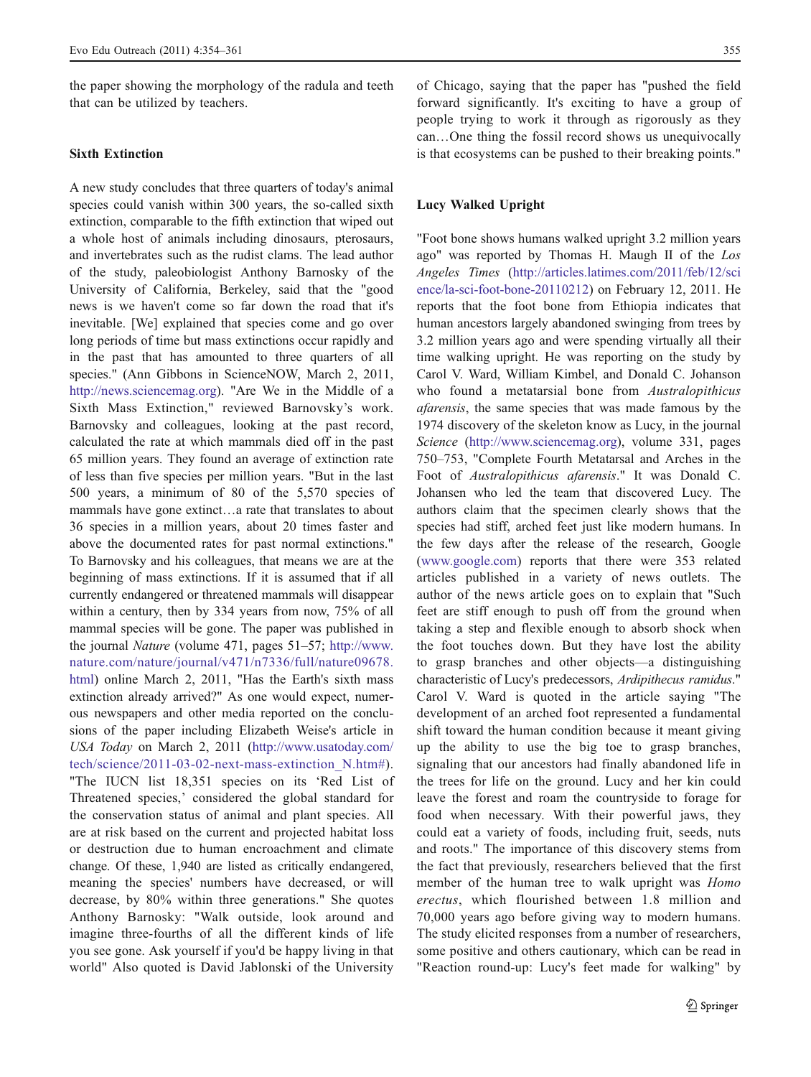the paper showing the morphology of the radula and teeth that can be utilized by teachers.

# Sixth Extinction

A new study concludes that three quarters of today's animal species could vanish within 300 years, the so-called sixth extinction, comparable to the fifth extinction that wiped out a whole host of animals including dinosaurs, pterosaurs, and invertebrates such as the rudist clams. The lead author of the study, paleobiologist Anthony Barnosky of the University of California, Berkeley, said that the "good news is we haven't come so far down the road that it's inevitable. [We] explained that species come and go over long periods of time but mass extinctions occur rapidly and in the past that has amounted to three quarters of all species." (Ann Gibbons in ScienceNOW, March 2, 2011, <http://news.sciencemag.org>). "Are We in the Middle of a Sixth Mass Extinction," reviewed Barnovsky's work. Barnovsky and colleagues, looking at the past record, calculated the rate at which mammals died off in the past 65 million years. They found an average of extinction rate of less than five species per million years. "But in the last 500 years, a minimum of 80 of the 5,570 species of mammals have gone extinct…a rate that translates to about 36 species in a million years, about 20 times faster and above the documented rates for past normal extinctions." To Barnovsky and his colleagues, that means we are at the beginning of mass extinctions. If it is assumed that if all currently endangered or threatened mammals will disappear within a century, then by 334 years from now, 75% of all mammal species will be gone. The paper was published in the journal Nature (volume 471, pages 51–57; [http://www.](http://www.nature.com/nature/journal/v471/n7336/full/nature09678.html) [nature.com/nature/journal/v471/n7336/full/nature09678.](http://www.nature.com/nature/journal/v471/n7336/full/nature09678.html) [html](http://www.nature.com/nature/journal/v471/n7336/full/nature09678.html)) online March 2, 2011, "Has the Earth's sixth mass extinction already arrived?" As one would expect, numerous newspapers and other media reported on the conclusions of the paper including Elizabeth Weise's article in USA Today on March 2, 2011 [\(http://www.usatoday.com/](http://www.usatoday.com/tech/science/2011-03-02-next-mass-extinction_N.htm#) [tech/science/2011-03-02-next-mass-extinction\\_N.htm#](http://www.usatoday.com/tech/science/2011-03-02-next-mass-extinction_N.htm#)). "The IUCN list 18,351 species on its 'Red List of Threatened species,' considered the global standard for the conservation status of animal and plant species. All are at risk based on the current and projected habitat loss or destruction due to human encroachment and climate change. Of these, 1,940 are listed as critically endangered, meaning the species' numbers have decreased, or will decrease, by 80% within three generations." She quotes Anthony Barnosky: "Walk outside, look around and imagine three-fourths of all the different kinds of life you see gone. Ask yourself if you'd be happy living in that world" Also quoted is David Jablonski of the University

of Chicago, saying that the paper has "pushed the field forward significantly. It's exciting to have a group of people trying to work it through as rigorously as they can…One thing the fossil record shows us unequivocally is that ecosystems can be pushed to their breaking points."

#### Lucy Walked Upright

"Foot bone shows humans walked upright 3.2 million years ago" was reported by Thomas H. Maugh II of the Los Angeles Times ([http://articles.latimes.com/2011/feb/12/sci](http://articles.latimes.com/2011/feb/12/science/la-sci-foot-bone-20110212) [ence/la-sci-foot-bone-20110212\)](http://articles.latimes.com/2011/feb/12/science/la-sci-foot-bone-20110212) on February 12, 2011. He reports that the foot bone from Ethiopia indicates that human ancestors largely abandoned swinging from trees by 3.2 million years ago and were spending virtually all their time walking upright. He was reporting on the study by Carol V. Ward, William Kimbel, and Donald C. Johanson who found a metatarsial bone from *Australopithicus* afarensis, the same species that was made famous by the 1974 discovery of the skeleton know as Lucy, in the journal Science (<http://www.sciencemag.org>), volume 331, pages 750–753, "Complete Fourth Metatarsal and Arches in the Foot of Australopithicus afarensis." It was Donald C. Johansen who led the team that discovered Lucy. The authors claim that the specimen clearly shows that the species had stiff, arched feet just like modern humans. In the few days after the release of the research, Google [\(www.google.com\)](http://www.google.com) reports that there were 353 related articles published in a variety of news outlets. The author of the news article goes on to explain that "Such feet are stiff enough to push off from the ground when taking a step and flexible enough to absorb shock when the foot touches down. But they have lost the ability to grasp branches and other objects—a distinguishing characteristic of Lucy's predecessors, Ardipithecus ramidus." Carol V. Ward is quoted in the article saying "The development of an arched foot represented a fundamental shift toward the human condition because it meant giving up the ability to use the big toe to grasp branches, signaling that our ancestors had finally abandoned life in the trees for life on the ground. Lucy and her kin could leave the forest and roam the countryside to forage for food when necessary. With their powerful jaws, they could eat a variety of foods, including fruit, seeds, nuts and roots." The importance of this discovery stems from the fact that previously, researchers believed that the first member of the human tree to walk upright was Homo erectus, which flourished between 1.8 million and 70,000 years ago before giving way to modern humans. The study elicited responses from a number of researchers, some positive and others cautionary, which can be read in "Reaction round-up: Lucy's feet made for walking" by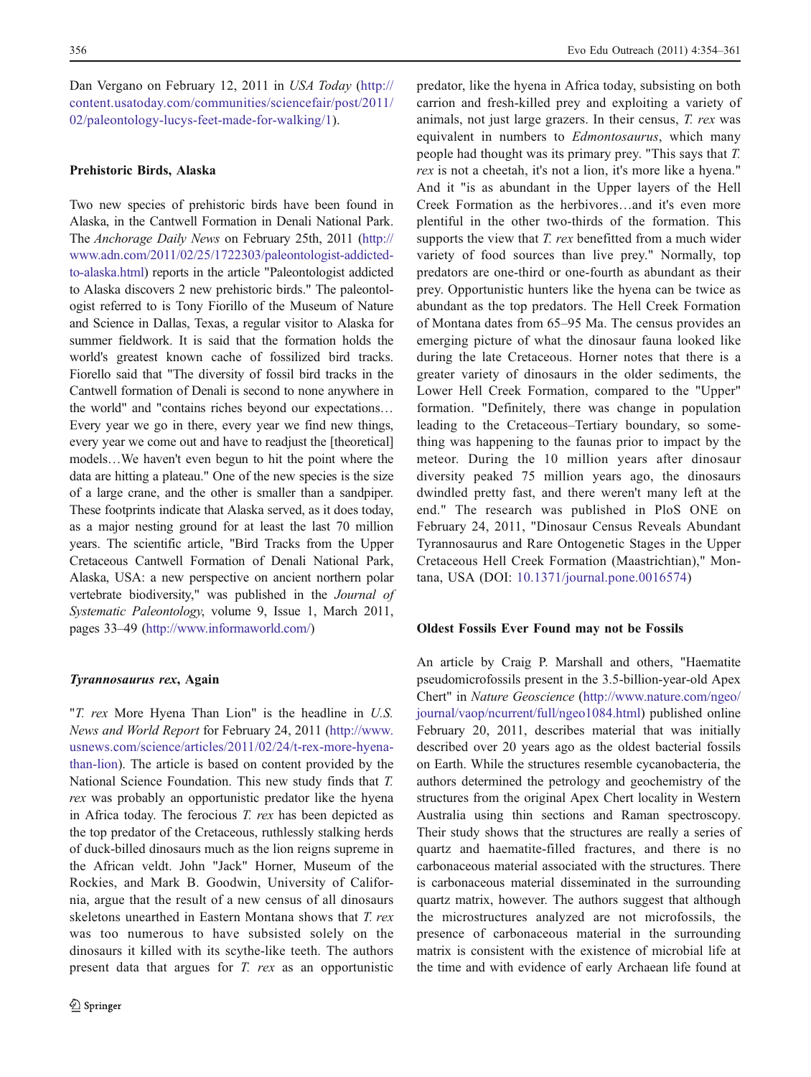Dan Vergano on February 12, 2011 in USA Today ([http://](http://content.usatoday.com/communities/sciencefair/post/2011/02/paleontology-lucys-feet-made-for-walking/1) [content.usatoday.com/communities/sciencefair/post/2011/](http://content.usatoday.com/communities/sciencefair/post/2011/02/paleontology-lucys-feet-made-for-walking/1) [02/paleontology-lucys-feet-made-for-walking/1](http://content.usatoday.com/communities/sciencefair/post/2011/02/paleontology-lucys-feet-made-for-walking/1)).

### Prehistoric Birds, Alaska

Two new species of prehistoric birds have been found in Alaska, in the Cantwell Formation in Denali National Park. The Anchorage Daily News on February 25th, 2011 [\(http://](http://www.adn.com/2011/02/25/1722303/paleontologist-addicted-to-alaska.html) [www.adn.com/2011/02/25/1722303/paleontologist-addicted](http://www.adn.com/2011/02/25/1722303/paleontologist-addicted-to-alaska.html)[to-alaska.html\)](http://www.adn.com/2011/02/25/1722303/paleontologist-addicted-to-alaska.html) reports in the article "Paleontologist addicted to Alaska discovers 2 new prehistoric birds." The paleontologist referred to is Tony Fiorillo of the Museum of Nature and Science in Dallas, Texas, a regular visitor to Alaska for summer fieldwork. It is said that the formation holds the world's greatest known cache of fossilized bird tracks. Fiorello said that "The diversity of fossil bird tracks in the Cantwell formation of Denali is second to none anywhere in the world" and "contains riches beyond our expectations… Every year we go in there, every year we find new things, every year we come out and have to readjust the [theoretical] models…We haven't even begun to hit the point where the data are hitting a plateau." One of the new species is the size of a large crane, and the other is smaller than a sandpiper. These footprints indicate that Alaska served, as it does today, as a major nesting ground for at least the last 70 million years. The scientific article, "Bird Tracks from the Upper Cretaceous Cantwell Formation of Denali National Park, Alaska, USA: a new perspective on ancient northern polar vertebrate biodiversity," was published in the Journal of Systematic Paleontology, volume 9, Issue 1, March 2011, pages 33–49 [\(http://www.informaworld.com/\)](http://www.informaworld.com/)

#### Tyrannosaurus rex, Again

"T. rex More Hyena Than Lion" is the headline in U.S. News and World Report for February 24, 2011 [\(http://www.](http://www.usnews.com/science/articles/2011/02/24/t-rex-more-hyena-than-lion) [usnews.com/science/articles/2011/02/24/t-rex-more-hyena](http://www.usnews.com/science/articles/2011/02/24/t-rex-more-hyena-than-lion)[than-lion\)](http://www.usnews.com/science/articles/2011/02/24/t-rex-more-hyena-than-lion). The article is based on content provided by the National Science Foundation. This new study finds that T. rex was probably an opportunistic predator like the hyena in Africa today. The ferocious  $T.$  rex has been depicted as the top predator of the Cretaceous, ruthlessly stalking herds of duck-billed dinosaurs much as the lion reigns supreme in the African veldt. John "Jack" Horner, Museum of the Rockies, and Mark B. Goodwin, University of California, argue that the result of a new census of all dinosaurs skeletons unearthed in Eastern Montana shows that T. rex was too numerous to have subsisted solely on the dinosaurs it killed with its scythe-like teeth. The authors present data that argues for T. rex as an opportunistic predator, like the hyena in Africa today, subsisting on both carrion and fresh-killed prey and exploiting a variety of animals, not just large grazers. In their census, T. rex was equivalent in numbers to Edmontosaurus, which many people had thought was its primary prey. "This says that T. rex is not a cheetah, it's not a lion, it's more like a hyena." And it "is as abundant in the Upper layers of the Hell Creek Formation as the herbivores…and it's even more plentiful in the other two-thirds of the formation. This supports the view that *T. rex* benefitted from a much wider variety of food sources than live prey." Normally, top predators are one-third or one-fourth as abundant as their prey. Opportunistic hunters like the hyena can be twice as abundant as the top predators. The Hell Creek Formation of Montana dates from 65–95 Ma. The census provides an emerging picture of what the dinosaur fauna looked like during the late Cretaceous. Horner notes that there is a greater variety of dinosaurs in the older sediments, the Lower Hell Creek Formation, compared to the "Upper" formation. "Definitely, there was change in population leading to the Cretaceous–Tertiary boundary, so something was happening to the faunas prior to impact by the meteor. During the 10 million years after dinosaur diversity peaked 75 million years ago, the dinosaurs dwindled pretty fast, and there weren't many left at the end." The research was published in PloS ONE on February 24, 2011, "Dinosaur Census Reveals Abundant Tyrannosaurus and Rare Ontogenetic Stages in the Upper Cretaceous Hell Creek Formation (Maastrichtian)," Montana, USA (DOI: [10.1371/journal.pone.0016574\)](http://dx.doi.org/10.1371/journal.pone.0016574)

#### Oldest Fossils Ever Found may not be Fossils

An article by Craig P. Marshall and others, "Haematite pseudomicrofossils present in the 3.5-billion-year-old Apex Chert" in Nature Geoscience [\(http://www.nature.com/ngeo/](http://www.nature.com/ngeo/journal/vaop/ncurrent/full/ngeo1084.html) [journal/vaop/ncurrent/full/ngeo1084.html\)](http://www.nature.com/ngeo/journal/vaop/ncurrent/full/ngeo1084.html) published online February 20, 2011, describes material that was initially described over 20 years ago as the oldest bacterial fossils on Earth. While the structures resemble cycanobacteria, the authors determined the petrology and geochemistry of the structures from the original Apex Chert locality in Western Australia using thin sections and Raman spectroscopy. Their study shows that the structures are really a series of quartz and haematite-filled fractures, and there is no carbonaceous material associated with the structures. There is carbonaceous material disseminated in the surrounding quartz matrix, however. The authors suggest that although the microstructures analyzed are not microfossils, the presence of carbonaceous material in the surrounding matrix is consistent with the existence of microbial life at the time and with evidence of early Archaean life found at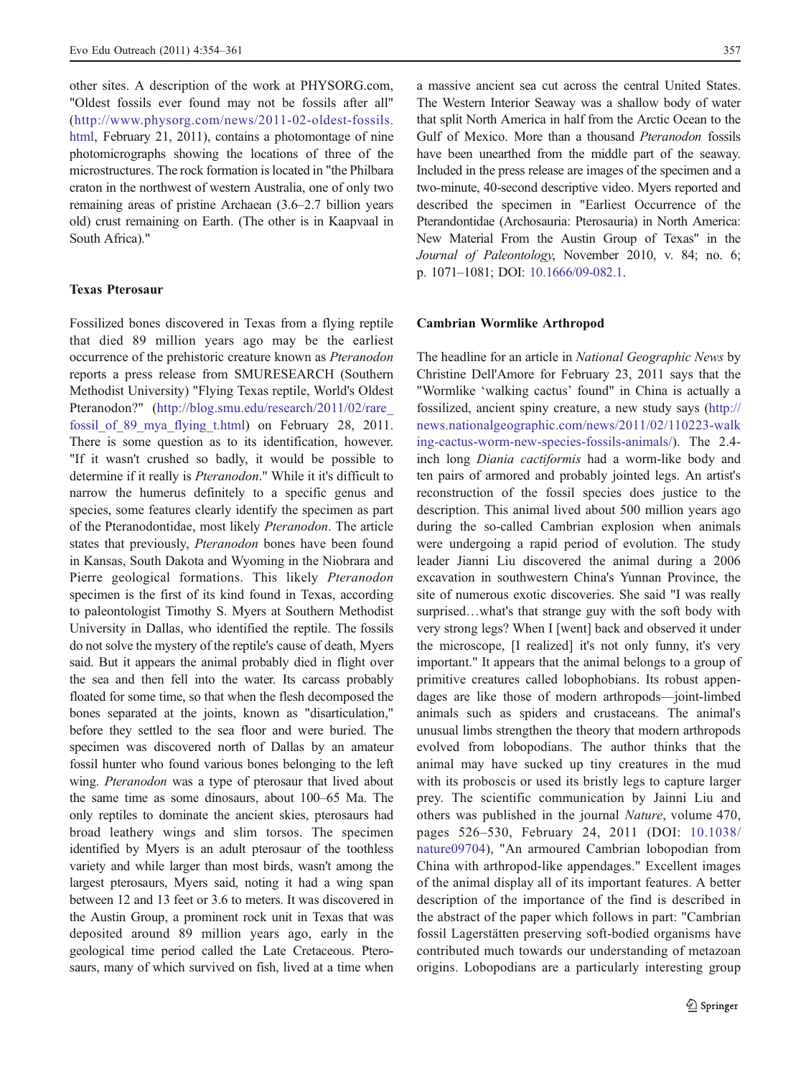other sites. A description of the work at PHYSORG.com, "Oldest fossils ever found may not be fossils after all" ([http://www.physorg.com/news/2011-02-oldest-fossils.](http://www.physorg.com/news/2011-02-oldest-fossils.html) [html](http://www.physorg.com/news/2011-02-oldest-fossils.html), February 21, 2011), contains a photomontage of nine photomicrographs showing the locations of three of the microstructures. The rock formation is located in "the Philbara craton in the northwest of western Australia, one of only two remaining areas of pristine Archaean (3.6–2.7 billion years old) crust remaining on Earth. (The other is in Kaapvaal in South Africa)."

### Texas Pterosaur

Fossilized bones discovered in Texas from a flying reptile that died 89 million years ago may be the earliest occurrence of the prehistoric creature known as Pteranodon reports a press release from SMURESEARCH (Southern Methodist University) "Flying Texas reptile, World's Oldest Pteranodon?" [\(http://blog.smu.edu/research/2011/02/rare\\_](http://blog.smu.edu/research/2011/02/rare_fossil_of_89_mya_flying_t.html) [fossil\\_of\\_89\\_mya\\_flying\\_t.html](http://blog.smu.edu/research/2011/02/rare_fossil_of_89_mya_flying_t.html)) on February 28, 2011. There is some question as to its identification, however. "If it wasn't crushed so badly, it would be possible to determine if it really is Pteranodon." While it it's difficult to narrow the humerus definitely to a specific genus and species, some features clearly identify the specimen as part of the Pteranodontidae, most likely Pteranodon. The article states that previously, Pteranodon bones have been found in Kansas, South Dakota and Wyoming in the Niobrara and Pierre geological formations. This likely Pteranodon specimen is the first of its kind found in Texas, according to paleontologist Timothy S. Myers at Southern Methodist University in Dallas, who identified the reptile. The fossils do not solve the mystery of the reptile's cause of death, Myers said. But it appears the animal probably died in flight over the sea and then fell into the water. Its carcass probably floated for some time, so that when the flesh decomposed the bones separated at the joints, known as "disarticulation," before they settled to the sea floor and were buried. The specimen was discovered north of Dallas by an amateur fossil hunter who found various bones belonging to the left wing. Pteranodon was a type of pterosaur that lived about the same time as some dinosaurs, about 100–65 Ma. The only reptiles to dominate the ancient skies, pterosaurs had broad leathery wings and slim torsos. The specimen identified by Myers is an adult pterosaur of the toothless variety and while larger than most birds, wasn't among the largest pterosaurs, Myers said, noting it had a wing span between 12 and 13 feet or 3.6 to meters. It was discovered in the Austin Group, a prominent rock unit in Texas that was deposited around 89 million years ago, early in the geological time period called the Late Cretaceous. Pterosaurs, many of which survived on fish, lived at a time when

a massive ancient sea cut across the central United States. The Western Interior Seaway was a shallow body of water that split North America in half from the Arctic Ocean to the Gulf of Mexico. More than a thousand Pteranodon fossils have been unearthed from the middle part of the seaway. Included in the press release are images of the specimen and a two-minute, 40-second descriptive video. Myers reported and described the specimen in "Earliest Occurrence of the Pterandontidae (Archosauria: Pterosauria) in North America: New Material From the Austin Group of Texas" in the Journal of Paleontology, November 2010, v. 84; no. 6; p. 1071–1081; DOI: [10.1666/09-082.1](http://dx.doi.org/10.1666/09-082.1).

#### Cambrian Wormlike Arthropod

The headline for an article in National Geographic News by Christine Dell'Amore for February 23, 2011 says that the "Wormlike 'walking cactus' found" in China is actually a fossilized, ancient spiny creature, a new study says ([http://](http://news.nationalgeographic.com/news/2011/02/110223-walking-cactus-worm-new-species-fossils-animals/) [news.nationalgeographic.com/news/2011/02/110223-walk](http://news.nationalgeographic.com/news/2011/02/110223-walking-cactus-worm-new-species-fossils-animals/) [ing-cactus-worm-new-species-fossils-animals/\)](http://news.nationalgeographic.com/news/2011/02/110223-walking-cactus-worm-new-species-fossils-animals/). The 2.4 inch long Diania cactiformis had a worm-like body and ten pairs of armored and probably jointed legs. An artist's reconstruction of the fossil species does justice to the description. This animal lived about 500 million years ago during the so-called Cambrian explosion when animals were undergoing a rapid period of evolution. The study leader Jianni Liu discovered the animal during a 2006 excavation in southwestern China's Yunnan Province, the site of numerous exotic discoveries. She said "I was really surprised…what's that strange guy with the soft body with very strong legs? When I [went] back and observed it under the microscope, [I realized] it's not only funny, it's very important." It appears that the animal belongs to a group of primitive creatures called lobophobians. Its robust appendages are like those of modern arthropods—joint-limbed animals such as spiders and crustaceans. The animal's unusual limbs strengthen the theory that modern arthropods evolved from lobopodians. The author thinks that the animal may have sucked up tiny creatures in the mud with its proboscis or used its bristly legs to capture larger prey. The scientific communication by Jainni Liu and others was published in the journal Nature, volume 470, pages 526–530, February 24, 2011 (DOI: [10.1038/](http://dx.doi.org/10.1038/nature09704) [nature09704\)](http://dx.doi.org/10.1038/nature09704), "An armoured Cambrian lobopodian from China with arthropod-like appendages." Excellent images of the animal display all of its important features. A better description of the importance of the find is described in the abstract of the paper which follows in part: "Cambrian fossil Lagerstätten preserving soft-bodied organisms have contributed much towards our understanding of metazoan origins. Lobopodians are a particularly interesting group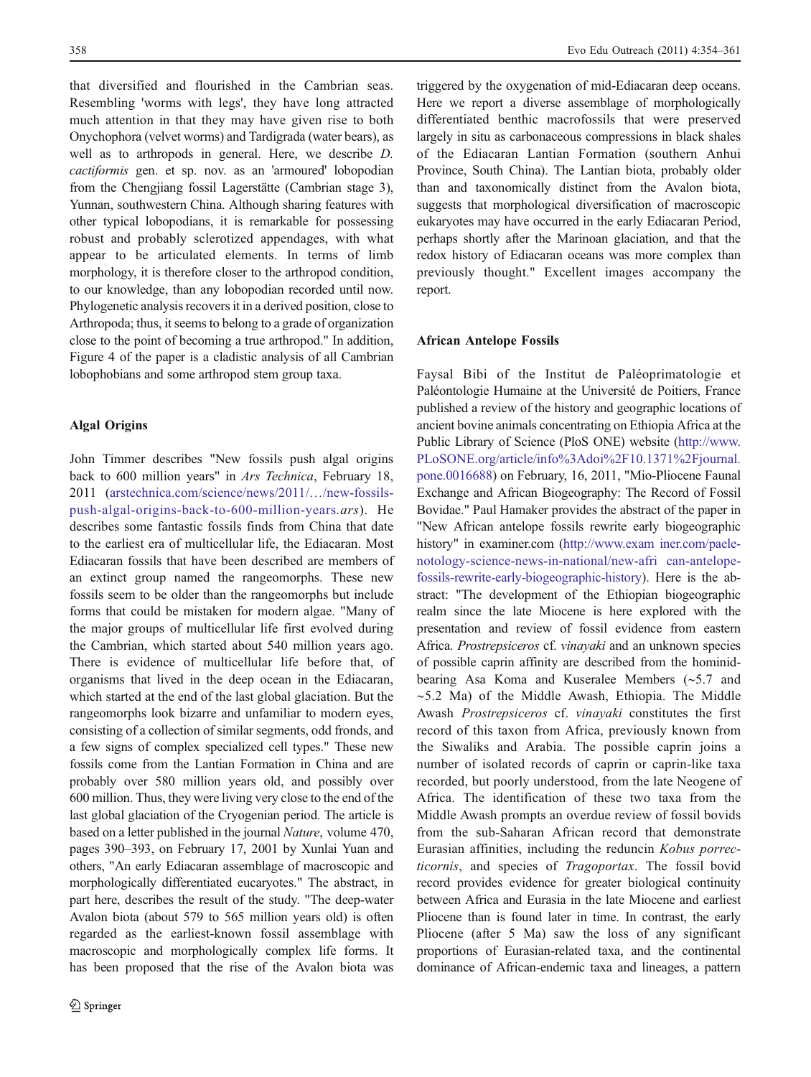that diversified and flourished in the Cambrian seas. Resembling 'worms with legs', they have long attracted much attention in that they may have given rise to both Onychophora (velvet worms) and Tardigrada (water bears), as well as to arthropods in general. Here, we describe D. cactiformis gen. et sp. nov. as an 'armoured' lobopodian from the Chengjiang fossil Lagerstätte (Cambrian stage 3), Yunnan, southwestern China. Although sharing features with other typical lobopodians, it is remarkable for possessing robust and probably sclerotized appendages, with what appear to be articulated elements. In terms of limb morphology, it is therefore closer to the arthropod condition, to our knowledge, than any lobopodian recorded until now. Phylogenetic analysis recovers it in a derived position, close to Arthropoda; thus, it seems to belong to a grade of organization close to the point of becoming a true arthropod." In addition, Figure 4 of the paper is a cladistic analysis of all Cambrian lobophobians and some arthropod stem group taxa.

# Algal Origins

John Timmer describes "New fossils push algal origins back to 600 million years" in Ars Technica, February 18, 2011 ([arstechnica.com/science/news/2011/](http://arstechnica.com/science/news/2011/&/new-fossils-push-algal-origins-back-to-600-million-years.ars)…/new-fossils[push-algal-origins-back-to-600-million-years](http://arstechnica.com/science/news/2011/&/new-fossils-push-algal-origins-back-to-600-million-years.ars).ars). He describes some fantastic fossils finds from China that date to the earliest era of multicellular life, the Ediacaran. Most Ediacaran fossils that have been described are members of an extinct group named the rangeomorphs. These new fossils seem to be older than the rangeomorphs but include forms that could be mistaken for modern algae. "Many of the major groups of multicellular life first evolved during the Cambrian, which started about 540 million years ago. There is evidence of multicellular life before that, of organisms that lived in the deep ocean in the Ediacaran, which started at the end of the last global glaciation. But the rangeomorphs look bizarre and unfamiliar to modern eyes, consisting of a collection of similar segments, odd fronds, and a few signs of complex specialized cell types." These new fossils come from the Lantian Formation in China and are probably over 580 million years old, and possibly over 600 million. Thus, they were living very close to the end of the last global glaciation of the Cryogenian period. The article is based on a letter published in the journal Nature, volume 470, pages 390–393, on February 17, 2001 by Xunlai Yuan and others, "An early Ediacaran assemblage of macroscopic and morphologically differentiated eucaryotes." The abstract, in part here, describes the result of the study. "The deep-water Avalon biota (about 579 to 565 million years old) is often regarded as the earliest-known fossil assemblage with macroscopic and morphologically complex life forms. It has been proposed that the rise of the Avalon biota was

triggered by the oxygenation of mid-Ediacaran deep oceans. Here we report a diverse assemblage of morphologically differentiated benthic macrofossils that were preserved largely in situ as carbonaceous compressions in black shales of the Ediacaran Lantian Formation (southern Anhui Province, South China). The Lantian biota, probably older than and taxonomically distinct from the Avalon biota, suggests that morphological diversification of macroscopic eukaryotes may have occurred in the early Ediacaran Period, perhaps shortly after the Marinoan glaciation, and that the redox history of Ediacaran oceans was more complex than previously thought." Excellent images accompany the report.

# African Antelope Fossils

Faysal Bibi of the Institut de Paléoprimatologie et Paléontologie Humaine at the Université de Poitiers, France published a review of the history and geographic locations of ancient bovine animals concentrating on Ethiopia Africa at the Public Library of Science (PloS ONE) website [\(http://www.](http://www.PLoSONE.org/article/info%3Adoi%2F10.1371%2Fjournal.pone.0016688) [PLoSONE.org/article/info%3Adoi%2F10.1371%2Fjournal.](http://www.PLoSONE.org/article/info%3Adoi%2F10.1371%2Fjournal.pone.0016688) [pone.0016688\)](http://www.PLoSONE.org/article/info%3Adoi%2F10.1371%2Fjournal.pone.0016688) on February, 16, 2011, "Mio-Pliocene Faunal Exchange and African Biogeography: The Record of Fossil Bovidae." Paul Hamaker provides the abstract of the paper in "New African antelope fossils rewrite early biogeographic history" in examiner.com ([http://www.exam iner.com/paele](http://www.examiner.com/paelenotology-science-news-in-national/new-african-antelope-fossils-rewrite-early-biogeographic-history)[notology-science-news-in-national/new-afri can-antelope](http://www.examiner.com/paelenotology-science-news-in-national/new-african-antelope-fossils-rewrite-early-biogeographic-history)[fossils-rewrite-early-biogeographic-history](http://www.examiner.com/paelenotology-science-news-in-national/new-african-antelope-fossils-rewrite-early-biogeographic-history)). Here is the abstract: "The development of the Ethiopian biogeographic realm since the late Miocene is here explored with the presentation and review of fossil evidence from eastern Africa. Prostrepsiceros cf. vinayaki and an unknown species of possible caprin affinity are described from the hominidbearing Asa Koma and Kuseralee Members (∼5.7 and ∼5.2 Ma) of the Middle Awash, Ethiopia. The Middle Awash Prostrepsiceros cf. vinayaki constitutes the first record of this taxon from Africa, previously known from the Siwaliks and Arabia. The possible caprin joins a number of isolated records of caprin or caprin-like taxa recorded, but poorly understood, from the late Neogene of Africa. The identification of these two taxa from the Middle Awash prompts an overdue review of fossil bovids from the sub-Saharan African record that demonstrate Eurasian affinities, including the reduncin Kobus porrecticornis, and species of Tragoportax. The fossil bovid record provides evidence for greater biological continuity between Africa and Eurasia in the late Miocene and earliest Pliocene than is found later in time. In contrast, the early Pliocene (after 5 Ma) saw the loss of any significant proportions of Eurasian-related taxa, and the continental dominance of African-endemic taxa and lineages, a pattern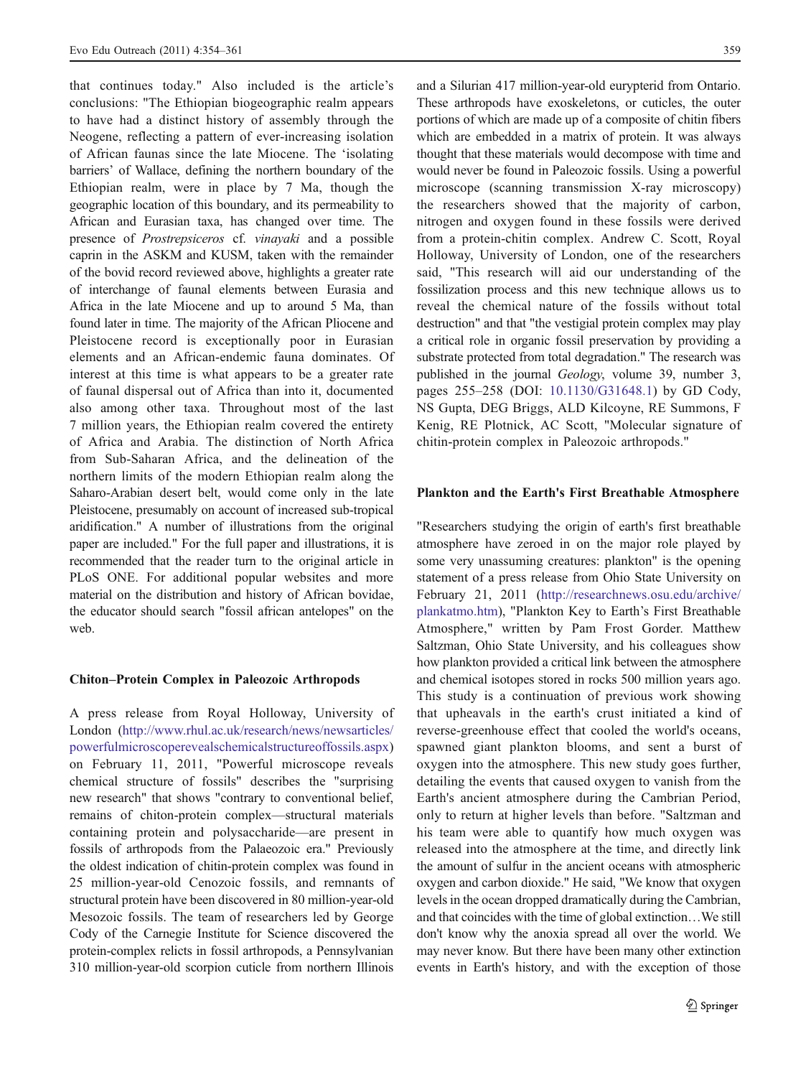that continues today." Also included is the article's conclusions: "The Ethiopian biogeographic realm appears to have had a distinct history of assembly through the Neogene, reflecting a pattern of ever-increasing isolation of African faunas since the late Miocene. The 'isolating barriers' of Wallace, defining the northern boundary of the Ethiopian realm, were in place by 7 Ma, though the geographic location of this boundary, and its permeability to African and Eurasian taxa, has changed over time. The presence of Prostrepsiceros cf. vinayaki and a possible caprin in the ASKM and KUSM, taken with the remainder of the bovid record reviewed above, highlights a greater rate of interchange of faunal elements between Eurasia and Africa in the late Miocene and up to around 5 Ma, than found later in time. The majority of the African Pliocene and Pleistocene record is exceptionally poor in Eurasian elements and an African-endemic fauna dominates. Of interest at this time is what appears to be a greater rate of faunal dispersal out of Africa than into it, documented also among other taxa. Throughout most of the last 7 million years, the Ethiopian realm covered the entirety of Africa and Arabia. The distinction of North Africa from Sub-Saharan Africa, and the delineation of the northern limits of the modern Ethiopian realm along the Saharo-Arabian desert belt, would come only in the late Pleistocene, presumably on account of increased sub-tropical aridification." A number of illustrations from the original paper are included." For the full paper and illustrations, it is recommended that the reader turn to the original article in PLoS ONE. For additional popular websites and more material on the distribution and history of African bovidae, the educator should search "fossil african antelopes" on the web.

#### Chiton–Protein Complex in Paleozoic Arthropods

A press release from Royal Holloway, University of London [\(http://www.rhul.ac.uk/research/news/newsarticles/](http://www.rhul.ac.uk/research/news/newsarticles/powerfulmicroscoperevealschemicalstructureoffossils.aspx) [powerfulmicroscoperevealschemicalstructureoffossils.aspx\)](http://www.rhul.ac.uk/research/news/newsarticles/powerfulmicroscoperevealschemicalstructureoffossils.aspx) on February 11, 2011, "Powerful microscope reveals chemical structure of fossils" describes the "surprising new research" that shows "contrary to conventional belief, remains of chiton-protein complex—structural materials containing protein and polysaccharide—are present in fossils of arthropods from the Palaeozoic era." Previously the oldest indication of chitin-protein complex was found in 25 million-year-old Cenozoic fossils, and remnants of structural protein have been discovered in 80 million-year-old Mesozoic fossils. The team of researchers led by George Cody of the Carnegie Institute for Science discovered the protein-complex relicts in fossil arthropods, a Pennsylvanian 310 million-year-old scorpion cuticle from northern Illinois

and a Silurian 417 million-year-old eurypterid from Ontario. These arthropods have exoskeletons, or cuticles, the outer portions of which are made up of a composite of chitin fibers which are embedded in a matrix of protein. It was always thought that these materials would decompose with time and would never be found in Paleozoic fossils. Using a powerful microscope (scanning transmission X-ray microscopy) the researchers showed that the majority of carbon, nitrogen and oxygen found in these fossils were derived from a protein-chitin complex. Andrew C. Scott, Royal Holloway, University of London, one of the researchers said, "This research will aid our understanding of the fossilization process and this new technique allows us to reveal the chemical nature of the fossils without total destruction" and that "the vestigial protein complex may play a critical role in organic fossil preservation by providing a substrate protected from total degradation." The research was published in the journal Geology, volume 39, number 3, pages 255–258 (DOI: [10.1130/G31648.1\)](http://dx.doi.org/10.1130/G31648.1) by GD Cody, NS Gupta, DEG Briggs, ALD Kilcoyne, RE Summons, F Kenig, RE Plotnick, AC Scott, "Molecular signature of chitin-protein complex in Paleozoic arthropods."

#### Plankton and the Earth's First Breathable Atmosphere

"Researchers studying the origin of earth's first breathable atmosphere have zeroed in on the major role played by some very unassuming creatures: plankton" is the opening statement of a press release from Ohio State University on February 21, 2011 [\(http://researchnews.osu.edu/archive/](http://researchnews.osu.edu/archive/plankatmo.htm) [plankatmo.htm\)](http://researchnews.osu.edu/archive/plankatmo.htm), "Plankton Key to Earth's First Breathable Atmosphere," written by Pam Frost Gorder. Matthew Saltzman, Ohio State University, and his colleagues show how plankton provided a critical link between the atmosphere and chemical isotopes stored in rocks 500 million years ago. This study is a continuation of previous work showing that upheavals in the earth's crust initiated a kind of reverse-greenhouse effect that cooled the world's oceans, spawned giant plankton blooms, and sent a burst of oxygen into the atmosphere. This new study goes further, detailing the events that caused oxygen to vanish from the Earth's ancient atmosphere during the Cambrian Period, only to return at higher levels than before. "Saltzman and his team were able to quantify how much oxygen was released into the atmosphere at the time, and directly link the amount of sulfur in the ancient oceans with atmospheric oxygen and carbon dioxide." He said, "We know that oxygen levels in the ocean dropped dramatically during the Cambrian, and that coincides with the time of global extinction…We still don't know why the anoxia spread all over the world. We may never know. But there have been many other extinction events in Earth's history, and with the exception of those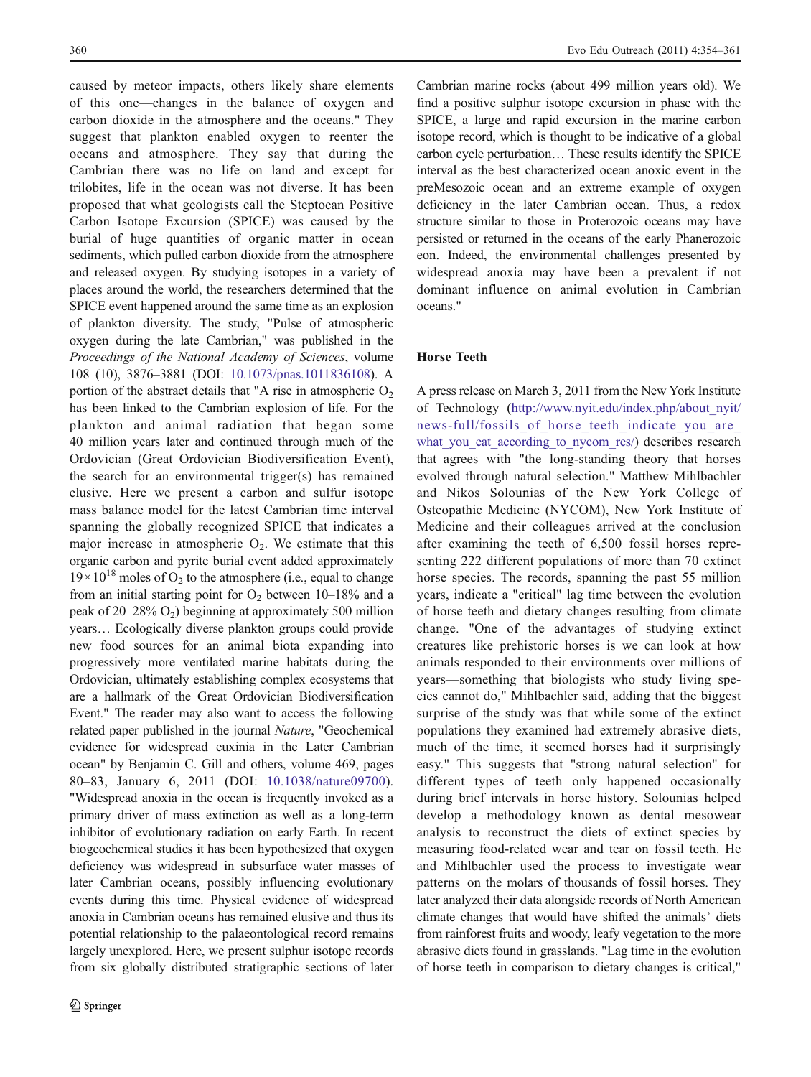caused by meteor impacts, others likely share elements of this one—changes in the balance of oxygen and carbon dioxide in the atmosphere and the oceans." They suggest that plankton enabled oxygen to reenter the oceans and atmosphere. They say that during the Cambrian there was no life on land and except for trilobites, life in the ocean was not diverse. It has been proposed that what geologists call the Steptoean Positive Carbon Isotope Excursion (SPICE) was caused by the burial of huge quantities of organic matter in ocean sediments, which pulled carbon dioxide from the atmosphere and released oxygen. By studying isotopes in a variety of places around the world, the researchers determined that the SPICE event happened around the same time as an explosion of plankton diversity. The study, "Pulse of atmospheric oxygen during the late Cambrian," was published in the Proceedings of the National Academy of Sciences, volume 108 (10), 3876–3881 (DOI: [10.1073/pnas.1011836108](http://dx.doi.org/10.1073/pnas.1011836108)). A portion of the abstract details that "A rise in atmospheric  $O<sub>2</sub>$ has been linked to the Cambrian explosion of life. For the plankton and animal radiation that began some 40 million years later and continued through much of the Ordovician (Great Ordovician Biodiversification Event), the search for an environmental trigger(s) has remained elusive. Here we present a carbon and sulfur isotope mass balance model for the latest Cambrian time interval spanning the globally recognized SPICE that indicates a major increase in atmospheric  $O_2$ . We estimate that this organic carbon and pyrite burial event added approximately  $19\times10^{18}$  moles of O<sub>2</sub> to the atmosphere (i.e., equal to change from an initial starting point for  $O_2$  between 10–18% and a peak of 20–28%  $O_2$ ) beginning at approximately 500 million years… Ecologically diverse plankton groups could provide new food sources for an animal biota expanding into progressively more ventilated marine habitats during the Ordovician, ultimately establishing complex ecosystems that are a hallmark of the Great Ordovician Biodiversification Event." The reader may also want to access the following related paper published in the journal Nature, "Geochemical evidence for widespread euxinia in the Later Cambrian ocean" by Benjamin C. Gill and others, volume 469, pages 80–83, January 6, 2011 (DOI: [10.1038/nature09700](http://dx.doi.org/10.1038/nature09700)). "Widespread anoxia in the ocean is frequently invoked as a primary driver of mass extinction as well as a long-term inhibitor of evolutionary radiation on early Earth. In recent biogeochemical studies it has been hypothesized that oxygen deficiency was widespread in subsurface water masses of later Cambrian oceans, possibly influencing evolutionary events during this time. Physical evidence of widespread anoxia in Cambrian oceans has remained elusive and thus its potential relationship to the palaeontological record remains largely unexplored. Here, we present sulphur isotope records from six globally distributed stratigraphic sections of later

Cambrian marine rocks (about 499 million years old). We find a positive sulphur isotope excursion in phase with the SPICE, a large and rapid excursion in the marine carbon isotope record, which is thought to be indicative of a global carbon cycle perturbation… These results identify the SPICE interval as the best characterized ocean anoxic event in the preMesozoic ocean and an extreme example of oxygen deficiency in the later Cambrian ocean. Thus, a redox structure similar to those in Proterozoic oceans may have persisted or returned in the oceans of the early Phanerozoic eon. Indeed, the environmental challenges presented by widespread anoxia may have been a prevalent if not dominant influence on animal evolution in Cambrian oceans."

## Horse Teeth

A press release on March 3, 2011 from the New York Institute of Technology ([http://www.nyit.edu/index.php/about\\_nyit/](http://www.nyit.edu/index.php/about_nyit/news-full/fossils_of_horse_teeth_indicate_you_are_what_you_eat_according_to_nycom_res/) news-full/fossils of horse teeth indicate you are what you eat according to nycom res/) describes research that agrees with "the long-standing theory that horses evolved through natural selection." Matthew Mihlbachler and Nikos Solounias of the New York College of Osteopathic Medicine (NYCOM), New York Institute of Medicine and their colleagues arrived at the conclusion after examining the teeth of 6,500 fossil horses representing 222 different populations of more than 70 extinct horse species. The records, spanning the past 55 million years, indicate a "critical" lag time between the evolution of horse teeth and dietary changes resulting from climate change. "One of the advantages of studying extinct creatures like prehistoric horses is we can look at how animals responded to their environments over millions of years—something that biologists who study living species cannot do," Mihlbachler said, adding that the biggest surprise of the study was that while some of the extinct populations they examined had extremely abrasive diets, much of the time, it seemed horses had it surprisingly easy." This suggests that "strong natural selection" for different types of teeth only happened occasionally during brief intervals in horse history. Solounias helped develop a methodology known as dental mesowear analysis to reconstruct the diets of extinct species by measuring food-related wear and tear on fossil teeth. He and Mihlbachler used the process to investigate wear patterns on the molars of thousands of fossil horses. They later analyzed their data alongside records of North American climate changes that would have shifted the animals' diets from rainforest fruits and woody, leafy vegetation to the more abrasive diets found in grasslands. "Lag time in the evolution of horse teeth in comparison to dietary changes is critical,"